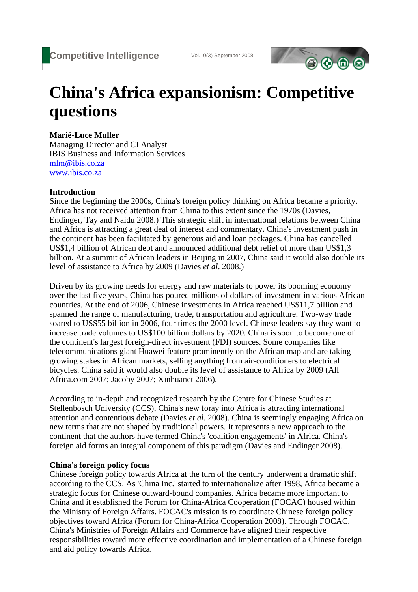

# **China's Africa expansionism: Competitive questions**

## **Marié-Luce Muller**

Managing Director and CI Analyst IBIS Business and Information Services mlm@ibis.co.za www.ibis.co.za

### **Introduction**

Since the beginning the 2000s, China's foreign policy thinking on Africa became a priority. Africa has not received attention from China to this extent since the 1970s (Davies, Endinger, Tay and Naidu 2008.) This strategic shift in international relations between China and Africa is attracting a great deal of interest and commentary. China's investment push in the continent has been facilitated by generous aid and loan packages. China has cancelled US\$1,4 billion of African debt and announced additional debt relief of more than US\$1,3 billion. At a summit of African leaders in Beijing in 2007, China said it would also double its level of assistance to Africa by 2009 (Davies *et al*. 2008.)

Driven by its growing needs for energy and raw materials to power its booming economy over the last five years, China has poured millions of dollars of investment in various African countries. At the end of 2006, Chinese investments in Africa reached US\$11,7 billion and spanned the range of manufacturing, trade, transportation and agriculture. Two-way trade soared to US\$55 billion in 2006, four times the 2000 level. Chinese leaders say they want to increase trade volumes to US\$100 billion dollars by 2020. China is soon to become one of the continent's largest foreign-direct investment (FDI) sources. Some companies like telecommunications giant Huawei feature prominently on the African map and are taking growing stakes in African markets, selling anything from air-conditioners to electrical bicycles. China said it would also double its level of assistance to Africa by 2009 (All Africa.com 2007; Jacoby 2007; Xinhuanet 2006).

According to in-depth and recognized research by the Centre for Chinese Studies at Stellenbosch University (CCS), China's new foray into Africa is attracting international attention and contentious debate (Davies *et al.* 2008). China is seemingly engaging Africa on new terms that are not shaped by traditional powers. It represents a new approach to the continent that the authors have termed China's 'coalition engagements' in Africa. China's foreign aid forms an integral component of this paradigm (Davies and Endinger 2008).

## **China's foreign policy focus**

Chinese foreign policy towards Africa at the turn of the century underwent a dramatic shift according to the CCS. As 'China Inc.' started to internationalize after 1998, Africa became a strategic focus for Chinese outward-bound companies. Africa became more important to China and it established the Forum for China-Africa Cooperation (FOCAC) housed within the Ministry of Foreign Affairs. FOCAC's mission is to coordinate Chinese foreign policy objectives toward Africa (Forum for China-Africa Cooperation 2008). Through FOCAC, China's Ministries of Foreign Affairs and Commerce have aligned their respective responsibilities toward more effective coordination and implementation of a Chinese foreign and aid policy towards Africa.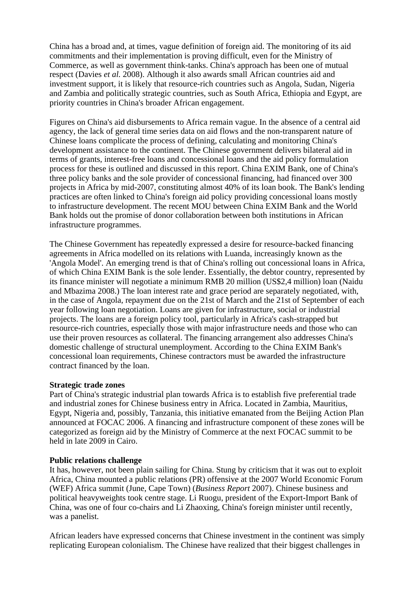China has a broad and, at times, vague definition of foreign aid. The monitoring of its aid commitments and their implementation is proving difficult, even for the Ministry of Commerce, as well as government think-tanks. China's approach has been one of mutual respect (Davies *et al.* 2008). Although it also awards small African countries aid and investment support, it is likely that resource-rich countries such as Angola, Sudan, Nigeria and Zambia and politically strategic countries, such as South Africa, Ethiopia and Egypt, are priority countries in China's broader African engagement.

Figures on China's aid disbursements to Africa remain vague. In the absence of a central aid agency, the lack of general time series data on aid flows and the non-transparent nature of Chinese loans complicate the process of defining, calculating and monitoring China's development assistance to the continent. The Chinese government delivers bilateral aid in terms of grants, interest-free loans and concessional loans and the aid policy formulation process for these is outlined and discussed in this report. China EXIM Bank, one of China's three policy banks and the sole provider of concessional financing, had financed over 300 projects in Africa by mid-2007, constituting almost 40% of its loan book. The Bank's lending practices are often linked to China's foreign aid policy providing concessional loans mostly to infrastructure development. The recent MOU between China EXIM Bank and the World Bank holds out the promise of donor collaboration between both institutions in African infrastructure programmes.

The Chinese Government has repeatedly expressed a desire for resource-backed financing agreements in Africa modelled on its relations with Luanda, increasingly known as the 'Angola Model'. An emerging trend is that of China's rolling out concessional loans in Africa, of which China EXIM Bank is the sole lender. Essentially, the debtor country, represented by its finance minister will negotiate a minimum RMB 20 million (US\$2,4 million) loan (Naidu and Mbazima 2008.) The loan interest rate and grace period are separately negotiated, with, in the case of Angola, repayment due on the 21st of March and the 21st of September of each year following loan negotiation. Loans are given for infrastructure, social or industrial projects. The loans are a foreign policy tool, particularly in Africa's cash-strapped but resource-rich countries, especially those with major infrastructure needs and those who can use their proven resources as collateral. The financing arrangement also addresses China's domestic challenge of structural unemployment. According to the China EXIM Bank's concessional loan requirements, Chinese contractors must be awarded the infrastructure contract financed by the loan.

#### **Strategic trade zones**

Part of China's strategic industrial plan towards Africa is to establish five preferential trade and industrial zones for Chinese business entry in Africa. Located in Zambia, Mauritius, Egypt, Nigeria and, possibly, Tanzania, this initiative emanated from the Beijing Action Plan announced at FOCAC 2006. A financing and infrastructure component of these zones will be categorized as foreign aid by the Ministry of Commerce at the next FOCAC summit to be held in late 2009 in Cairo.

### **Public relations challenge**

It has, however, not been plain sailing for China. Stung by criticism that it was out to exploit Africa, China mounted a public relations (PR) offensive at the 2007 World Economic Forum (WEF) Africa summit (June, Cape Town) (*Business Report* 2007). Chinese business and political heavyweights took centre stage. Li Ruogu, president of the Export-Import Bank of China, was one of four co-chairs and Li Zhaoxing, China's foreign minister until recently, was a panelist.

African leaders have expressed concerns that Chinese investment in the continent was simply replicating European colonialism. The Chinese have realized that their biggest challenges in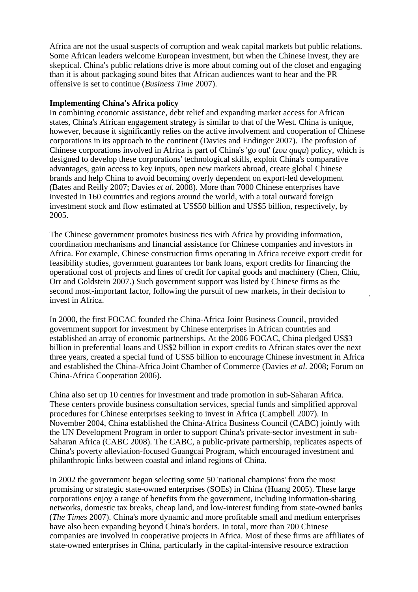Africa are not the usual suspects of corruption and weak capital markets but public relations. Some African leaders welcome European investment, but when the Chinese invest, they are skeptical. China's public relations drive is more about coming out of the closet and engaging than it is about packaging sound bites that African audiences want to hear and the PR offensive is set to continue (*Business Time* 2007).

#### **Implementing China's Africa policy**

In combining economic assistance, debt relief and expanding market access for African states, China's African engagement strategy is similar to that of the West. China is unique, however, because it significantly relies on the active involvement and cooperation of Chinese corporations in its approach to the continent (Davies and Endinger 2007). The profusion of Chinese corporations involved in Africa is part of China's 'go out' (*zou ququ*) policy, which is designed to develop these corporations' technological skills, exploit China's comparative advantages, gain access to key inputs, open new markets abroad, create global Chinese brands and help China to avoid becoming overly dependent on export-led development (Bates and Reilly 2007; Davies *et al*. 2008). More than 7000 Chinese enterprises have invested in 160 countries and regions around the world, with a total outward foreign investment stock and flow estimated at US\$50 billion and US\$5 billion, respectively, by 2005.

The Chinese government promotes business ties with Africa by providing information, coordination mechanisms and financial assistance for Chinese companies and investors in Africa. For example, Chinese construction firms operating in Africa receive export credit for feasibility studies, government guarantees for bank loans, export credits for financing the operational cost of projects and lines of credit for capital goods and machinery (Chen, Chiu, Orr and Goldstein 2007.) Such government support was listed by Chinese firms as the second most-important factor, following the pursuit of new markets, in their decision to invest in Africa.

In 2000, the first FOCAC founded the China-Africa Joint Business Council, provided government support for investment by Chinese enterprises in African countries and established an array of economic partnerships. At the 2006 FOCAC, China pledged US\$3 billion in preferential loans and US\$2 billion in export credits to African states over the next three years, created a special fund of US\$5 billion to encourage Chinese investment in Africa and established the China-Africa Joint Chamber of Commerce (Davies *et al*. 2008; Forum on China-Africa Cooperation 2006).

China also set up 10 centres for investment and trade promotion in sub-Saharan Africa. These centers provide business consultation services, special funds and simplified approval procedures for Chinese enterprises seeking to invest in Africa (Campbell 2007). In November 2004, China established the China-Africa Business Council (CABC) jointly with the UN Development Program in order to support China's private-sector investment in sub-Saharan Africa (CABC 2008). The CABC, a public-private partnership, replicates aspects of China's poverty alleviation-focused Guangcai Program, which encouraged investment and philanthropic links between coastal and inland regions of China.

In 2002 the government began selecting some 50 'national champions' from the most promising or strategic state-owned enterprises (SOEs) in China (Huang 2005). These large corporations enjoy a range of benefits from the government, including information-sharing networks, domestic tax breaks, cheap land, and low-interest funding from state-owned banks (*The Times* 2007). China's more dynamic and more profitable small and medium enterprises have also been expanding beyond China's borders. In total, more than 700 Chinese companies are involved in cooperative projects in Africa. Most of these firms are affiliates of state-owned enterprises in China, particularly in the capital-intensive resource extraction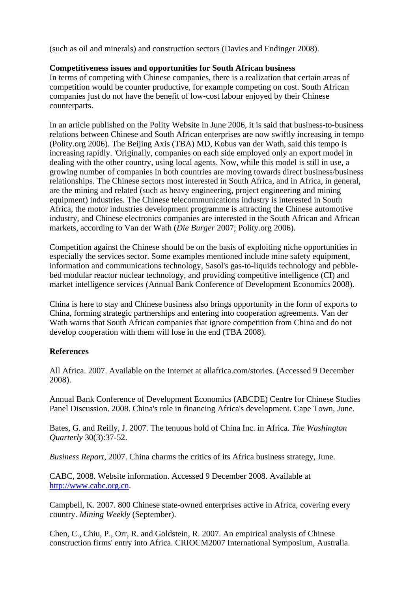(such as oil and minerals) and construction sectors (Davies and Endinger 2008).

## **Competitiveness issues and opportunities for South African business**

In terms of competing with Chinese companies, there is a realization that certain areas of competition would be counter productive, for example competing on cost. South African companies just do not have the benefit of low-cost labour enjoyed by their Chinese counterparts.

In an article published on the Polity Website in June 2006, it is said that business-to-business relations between Chinese and South African enterprises are now swiftly increasing in tempo (Polity.org 2006). The Beijing Axis (TBA) MD, Kobus van der Wath, said this tempo is increasing rapidly. 'Originally, companies on each side employed only an export model in dealing with the other country, using local agents. Now, while this model is still in use, a growing number of companies in both countries are moving towards direct business/business relationships. The Chinese sectors most interested in South Africa, and in Africa, in general, are the mining and related (such as heavy engineering, project engineering and mining equipment) industries. The Chinese telecommunications industry is interested in South Africa, the motor industries development programme is attracting the Chinese automotive industry, and Chinese electronics companies are interested in the South African and African markets, according to Van der Wath (*Die Burger* 2007; Polity.org 2006).

Competition against the Chinese should be on the basis of exploiting niche opportunities in especially the services sector. Some examples mentioned include mine safety equipment, information and communications technology, Sasol's gas-to-liquids technology and pebblebed modular reactor nuclear technology, and providing competitive intelligence (CI) and market intelligence services (Annual Bank Conference of Development Economics 2008).

China is here to stay and Chinese business also brings opportunity in the form of exports to China, forming strategic partnerships and entering into cooperation agreements. Van der Wath warns that South African companies that ignore competition from China and do not develop cooperation with them will lose in the end (TBA 2008).

## **References**

All Africa. 2007. Available on the Internet at allafrica.com/stories. (Accessed 9 December 2008).

Annual Bank Conference of Development Economics (ABCDE) Centre for Chinese Studies Panel Discussion. 2008. China's role in financing Africa's development. Cape Town, June.

Bates, G. and Reilly, J. 2007. The tenuous hold of China Inc. in Africa*. The Washington Quarterly* 30(3):37-52.

*Business Report*, 2007. China charms the critics of its Africa business strategy, June.

CABC, 2008. Website information. Accessed 9 December 2008. Available at http://www.cabc.org.cn.

Campbell, K. 2007. 800 Chinese state-owned enterprises active in Africa, covering every country. *Mining Weekly* (September).

Chen, C., Chiu, P., Orr, R. and Goldstein, R. 2007. An empirical analysis of Chinese construction firms' entry into Africa. CRIOCM2007 International Symposium, Australia.